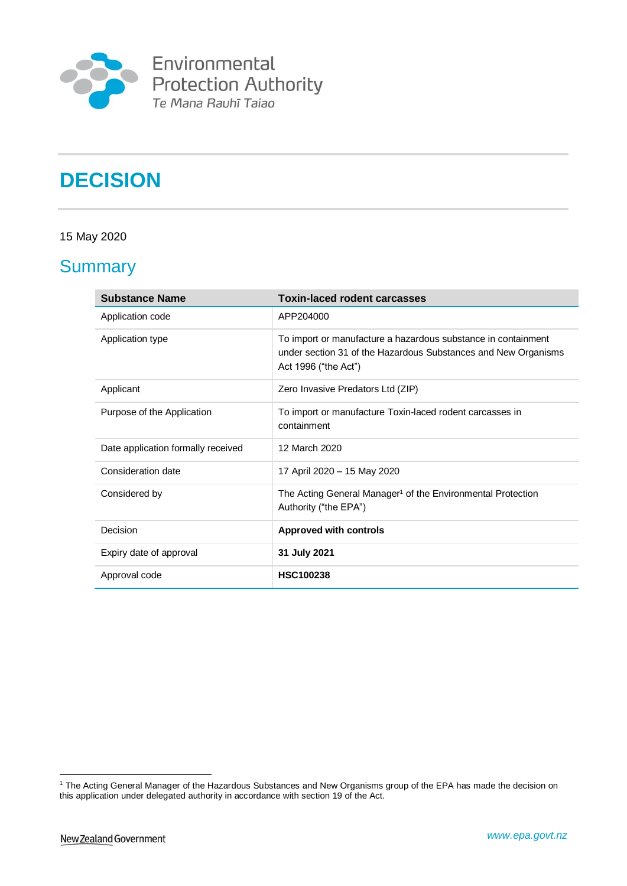

# **DECISION**

# 15 May 2020

# **Summary**

| <b>Substance Name</b>              | <b>Toxin-laced rodent carcasses</b>                                                                                                                     |
|------------------------------------|---------------------------------------------------------------------------------------------------------------------------------------------------------|
| Application code                   | APP204000                                                                                                                                               |
| Application type                   | To import or manufacture a hazardous substance in containment<br>under section 31 of the Hazardous Substances and New Organisms<br>Act 1996 ("the Act") |
| Applicant                          | Zero Invasive Predators Ltd (ZIP)                                                                                                                       |
| Purpose of the Application         | To import or manufacture Toxin-laced rodent carcasses in<br>containment                                                                                 |
| Date application formally received | 12 March 2020                                                                                                                                           |
| Consideration date                 | 17 April 2020 - 15 May 2020                                                                                                                             |
| Considered by                      | The Acting General Manager <sup>1</sup> of the Environmental Protection<br>Authority ("the EPA")                                                        |
| Decision                           | <b>Approved with controls</b>                                                                                                                           |
| Expiry date of approval            | 31 July 2021                                                                                                                                            |
| Approval code                      | <b>HSC100238</b>                                                                                                                                        |

1

<sup>1</sup> The Acting General Manager of the Hazardous Substances and New Organisms group of the EPA has made the decision on this application under delegated authority in accordance with section 19 of the Act.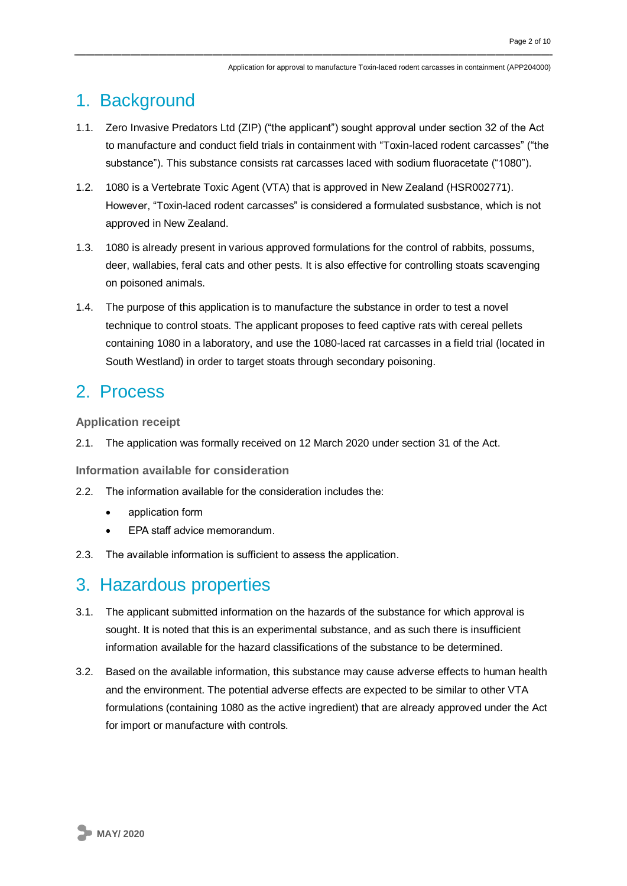# 1. Background

- 1.1. Zero Invasive Predators Ltd (ZIP) ("the applicant") sought approval under section 32 of the Act to manufacture and conduct field trials in containment with "Toxin-laced rodent carcasses" ("the substance"). This substance consists rat carcasses laced with sodium fluoracetate ("1080").
- 1.2. 1080 is a Vertebrate Toxic Agent (VTA) that is approved in New Zealand (HSR002771). However, "Toxin-laced rodent carcasses" is considered a formulated susbstance, which is not approved in New Zealand.
- 1.3. 1080 is already present in various approved formulations for the control of rabbits, possums, deer, wallabies, feral cats and other pests. It is also effective for controlling stoats scavenging on poisoned animals.
- 1.4. The purpose of this application is to manufacture the substance in order to test a novel technique to control stoats. The applicant proposes to feed captive rats with cereal pellets containing 1080 in a laboratory, and use the 1080-laced rat carcasses in a field trial (located in South Westland) in order to target stoats through secondary poisoning.

# 2. Process

**Application receipt**

2.1. The application was formally received on 12 March 2020 under section 31 of the Act.

**Information available for consideration**

- 2.2. The information available for the consideration includes the:
	- application form
	- EPA staff advice memorandum.
- 2.3. The available information is sufficient to assess the application.

# 3. Hazardous properties

- 3.1. The applicant submitted information on the hazards of the substance for which approval is sought. It is noted that this is an experimental substance, and as such there is insufficient information available for the hazard classifications of the substance to be determined.
- 3.2. Based on the available information, this substance may cause adverse effects to human health and the environment. The potential adverse effects are expected to be similar to other VTA formulations (containing 1080 as the active ingredient) that are already approved under the Act for import or manufacture with controls.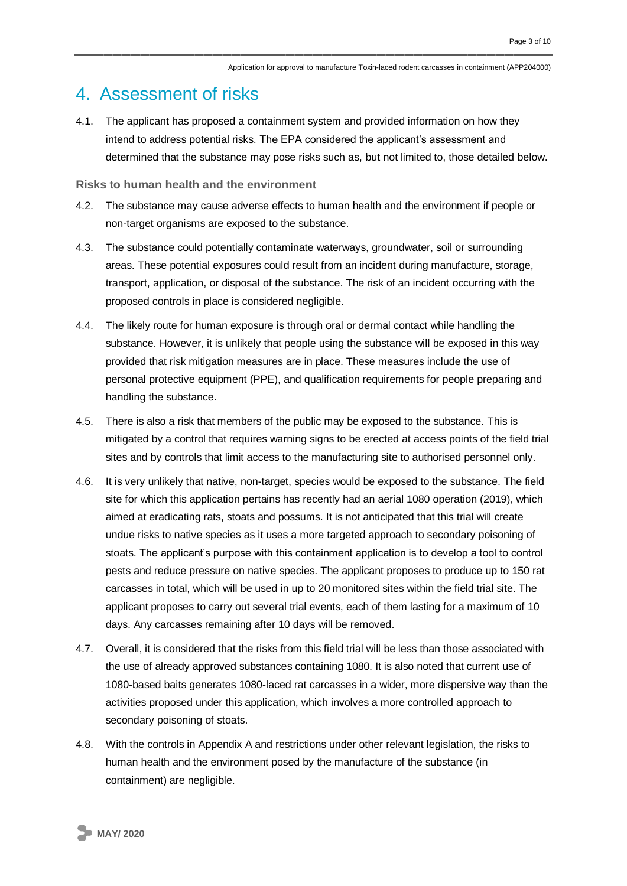# 4. Assessment of risks

4.1. The applicant has proposed a containment system and provided information on how they intend to address potential risks. The EPA considered the applicant's assessment and determined that the substance may pose risks such as, but not limited to, those detailed below.

# **Risks to human health and the environment**

- 4.2. The substance may cause adverse effects to human health and the environment if people or non-target organisms are exposed to the substance.
- 4.3. The substance could potentially contaminate waterways, groundwater, soil or surrounding areas. These potential exposures could result from an incident during manufacture, storage, transport, application, or disposal of the substance. The risk of an incident occurring with the proposed controls in place is considered negligible.
- 4.4. The likely route for human exposure is through oral or dermal contact while handling the substance. However, it is unlikely that people using the substance will be exposed in this way provided that risk mitigation measures are in place. These measures include the use of personal protective equipment (PPE), and qualification requirements for people preparing and handling the substance.
- 4.5. There is also a risk that members of the public may be exposed to the substance. This is mitigated by a control that requires warning signs to be erected at access points of the field trial sites and by controls that limit access to the manufacturing site to authorised personnel only.
- 4.6. It is very unlikely that native, non-target, species would be exposed to the substance. The field site for which this application pertains has recently had an aerial 1080 operation (2019), which aimed at eradicating rats, stoats and possums. It is not anticipated that this trial will create undue risks to native species as it uses a more targeted approach to secondary poisoning of stoats. The applicant's purpose with this containment application is to develop a tool to control pests and reduce pressure on native species. The applicant proposes to produce up to 150 rat carcasses in total, which will be used in up to 20 monitored sites within the field trial site. The applicant proposes to carry out several trial events, each of them lasting for a maximum of 10 days. Any carcasses remaining after 10 days will be removed.
- 4.7. Overall, it is considered that the risks from this field trial will be less than those associated with the use of already approved substances containing 1080. It is also noted that current use of 1080-based baits generates 1080-laced rat carcasses in a wider, more dispersive way than the activities proposed under this application, which involves a more controlled approach to secondary poisoning of stoats.
- 4.8. With the controls in Appendix A and restrictions under other relevant legislation, the risks to human health and the environment posed by the manufacture of the substance (in containment) are negligible.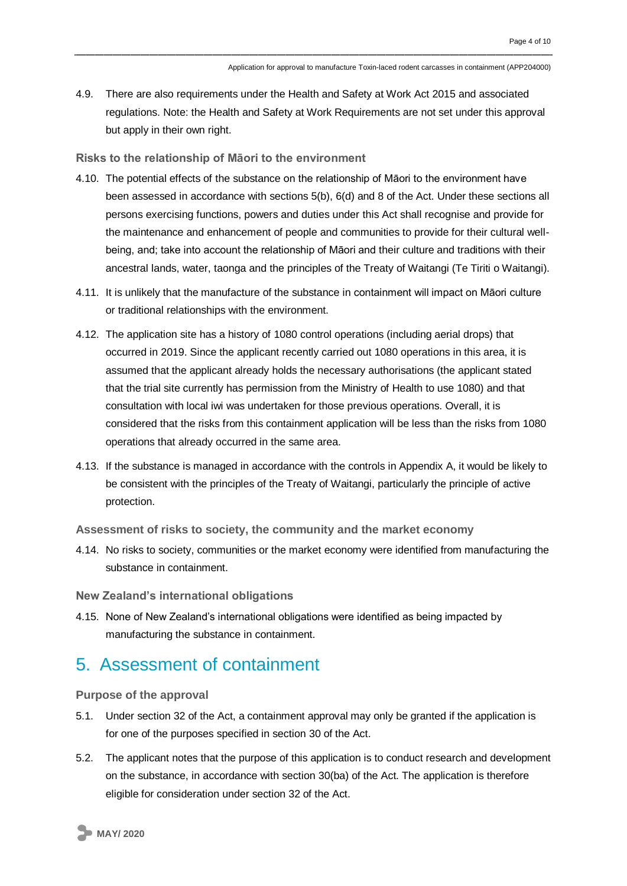4.9. There are also requirements under the Health and Safety at Work Act 2015 and associated regulations. Note: the Health and Safety at Work Requirements are not set under this approval but apply in their own right.

### **Risks to the relationship of Māori to the environment**

- 4.10. The potential effects of the substance on the relationship of Māori to the environment have been assessed in accordance with sections 5(b), 6(d) and 8 of the Act. Under these sections all persons exercising functions, powers and duties under this Act shall recognise and provide for the maintenance and enhancement of people and communities to provide for their cultural wellbeing, and; take into account the relationship of Māori and their culture and traditions with their ancestral lands, water, taonga and the principles of the Treaty of Waitangi (Te Tiriti o Waitangi).
- 4.11. It is unlikely that the manufacture of the substance in containment will impact on Māori culture or traditional relationships with the environment.
- 4.12. The application site has a history of 1080 control operations (including aerial drops) that occurred in 2019. Since the applicant recently carried out 1080 operations in this area, it is assumed that the applicant already holds the necessary authorisations (the applicant stated that the trial site currently has permission from the Ministry of Health to use 1080) and that consultation with local iwi was undertaken for those previous operations. Overall, it is considered that the risks from this containment application will be less than the risks from 1080 operations that already occurred in the same area.
- 4.13. If the substance is managed in accordance with the controls in Appendix A, it would be likely to be consistent with the principles of the Treaty of Waitangi, particularly the principle of active protection.

**Assessment of risks to society, the community and the market economy**

4.14. No risks to society, communities or the market economy were identified from manufacturing the substance in containment.

**New Zealand's international obligations**

4.15. None of New Zealand's international obligations were identified as being impacted by manufacturing the substance in containment.

# 5. Assessment of containment

**Purpose of the approval**

- 5.1. Under section 32 of the Act, a containment approval may only be granted if the application is for one of the purposes specified in section 30 of the Act.
- 5.2. The applicant notes that the purpose of this application is to conduct research and development on the substance, in accordance with section 30(ba) of the Act. The application is therefore eligible for consideration under section 32 of the Act.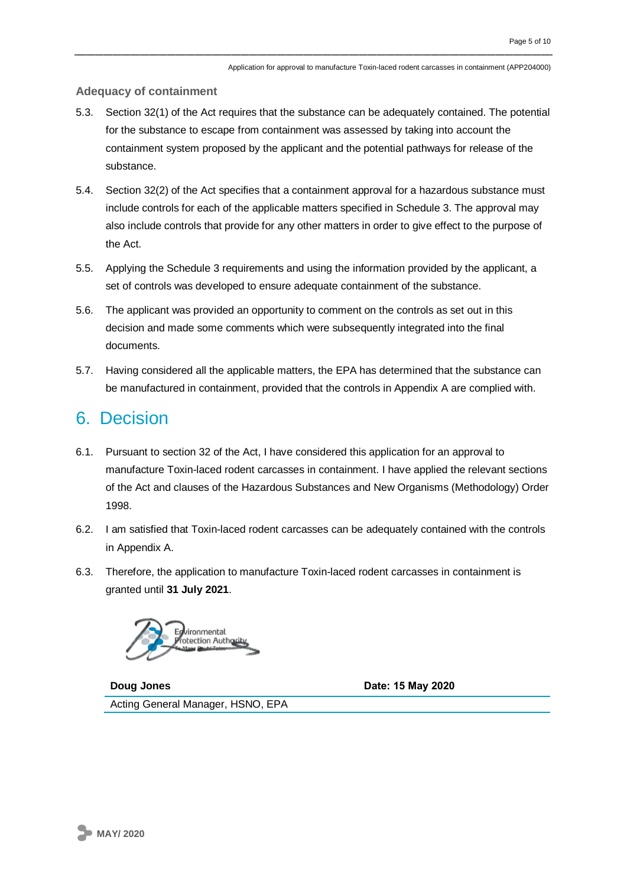## **Adequacy of containment**

- 5.3. Section 32(1) of the Act requires that the substance can be adequately contained. The potential for the substance to escape from containment was assessed by taking into account the containment system proposed by the applicant and the potential pathways for release of the substance.
- 5.4. Section 32(2) of the Act specifies that a containment approval for a hazardous substance must include controls for each of the applicable matters specified in Schedule 3. The approval may also include controls that provide for any other matters in order to give effect to the purpose of the Act.
- 5.5. Applying the Schedule 3 requirements and using the information provided by the applicant, a set of controls was developed to ensure adequate containment of the substance.
- 5.6. The applicant was provided an opportunity to comment on the controls as set out in this decision and made some comments which were subsequently integrated into the final documents.
- 5.7. Having considered all the applicable matters, the EPA has determined that the substance can be manufactured in containment, provided that the controls in Appendix A are complied with.

# 6. Decision

- 6.1. Pursuant to section 32 of the Act, I have considered this application for an approval to manufacture Toxin-laced rodent carcasses in containment. I have applied the relevant sections of the Act and clauses of the Hazardous Substances and New Organisms (Methodology) Order 1998.
- 6.2. I am satisfied that Toxin-laced rodent carcasses can be adequately contained with the controls in Appendix A.
- 6.3. Therefore, the application to manufacture Toxin-laced rodent carcasses in containment is granted until **31 July 2021**.



**Doug Jones Date: 15 May 2020** Acting General Manager, HSNO, EPA

**MAY/ 2020**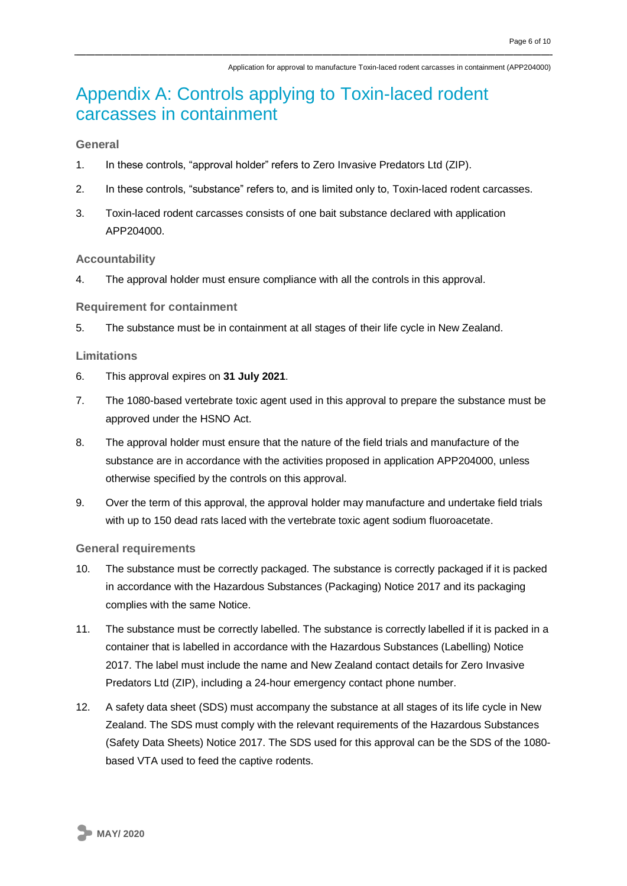# Appendix A: Controls applying to Toxin-laced rodent carcasses in containment

# **General**

- 1. In these controls, "approval holder" refers to Zero Invasive Predators Ltd (ZIP).
- 2. In these controls, "substance" refers to, and is limited only to, Toxin-laced rodent carcasses.
- 3. Toxin-laced rodent carcasses consists of one bait substance declared with application APP204000

### **Accountability**

4. The approval holder must ensure compliance with all the controls in this approval.

#### **Requirement for containment**

5. The substance must be in containment at all stages of their life cycle in New Zealand.

### **Limitations**

- 6. This approval expires on **31 July 2021**.
- 7. The 1080-based vertebrate toxic agent used in this approval to prepare the substance must be approved under the HSNO Act.
- 8. The approval holder must ensure that the nature of the field trials and manufacture of the substance are in accordance with the activities proposed in application APP204000, unless otherwise specified by the controls on this approval.
- 9. Over the term of this approval, the approval holder may manufacture and undertake field trials with up to 150 dead rats laced with the vertebrate toxic agent sodium fluoroacetate.

### **General requirements**

- 10. The substance must be correctly packaged. The substance is correctly packaged if it is packed in accordance with the Hazardous Substances (Packaging) Notice 2017 and its packaging complies with the same Notice.
- 11. The substance must be correctly labelled. The substance is correctly labelled if it is packed in a container that is labelled in accordance with the Hazardous Substances (Labelling) Notice 2017. The label must include the name and New Zealand contact details for Zero Invasive Predators Ltd (ZIP), including a 24-hour emergency contact phone number.
- 12. A safety data sheet (SDS) must accompany the substance at all stages of its life cycle in New Zealand. The SDS must comply with the relevant requirements of the Hazardous Substances (Safety Data Sheets) Notice 2017. The SDS used for this approval can be the SDS of the 1080 based VTA used to feed the captive rodents.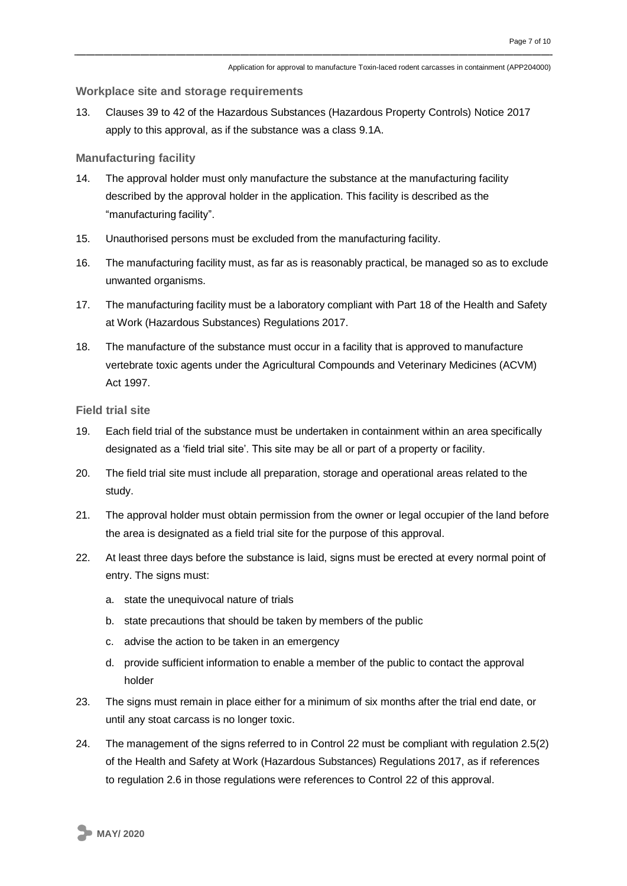#### **Workplace site and storage requirements**

13. Clauses 39 to 42 of the Hazardous Substances (Hazardous Property Controls) Notice 2017 apply to this approval, as if the substance was a class 9.1A.

### **Manufacturing facility**

- 14. The approval holder must only manufacture the substance at the manufacturing facility described by the approval holder in the application. This facility is described as the "manufacturing facility".
- 15. Unauthorised persons must be excluded from the manufacturing facility.
- 16. The manufacturing facility must, as far as is reasonably practical, be managed so as to exclude unwanted organisms.
- 17. The manufacturing facility must be a laboratory compliant with Part 18 of the Health and Safety at Work (Hazardous Substances) Regulations 2017.
- 18. The manufacture of the substance must occur in a facility that is approved to manufacture vertebrate toxic agents under the Agricultural Compounds and Veterinary Medicines (ACVM) Act 1997.

**Field trial site**

- 19. Each field trial of the substance must be undertaken in containment within an area specifically designated as a 'field trial site'. This site may be all or part of a property or facility.
- 20. The field trial site must include all preparation, storage and operational areas related to the study.
- 21. The approval holder must obtain permission from the owner or legal occupier of the land before the area is designated as a field trial site for the purpose of this approval.
- 22. At least three days before the substance is laid, signs must be erected at every normal point of entry. The signs must:
	- a. state the unequivocal nature of trials
	- b. state precautions that should be taken by members of the public
	- c. advise the action to be taken in an emergency
	- d. provide sufficient information to enable a member of the public to contact the approval holder
- 23. The signs must remain in place either for a minimum of six months after the trial end date, or until any stoat carcass is no longer toxic.
- 24. The management of the signs referred to in Control 22 must be compliant with regulation 2.5(2) of the Health and Safety at Work (Hazardous Substances) Regulations 2017, as if references to regulation 2.6 in those regulations were references to Control 22 of this approval.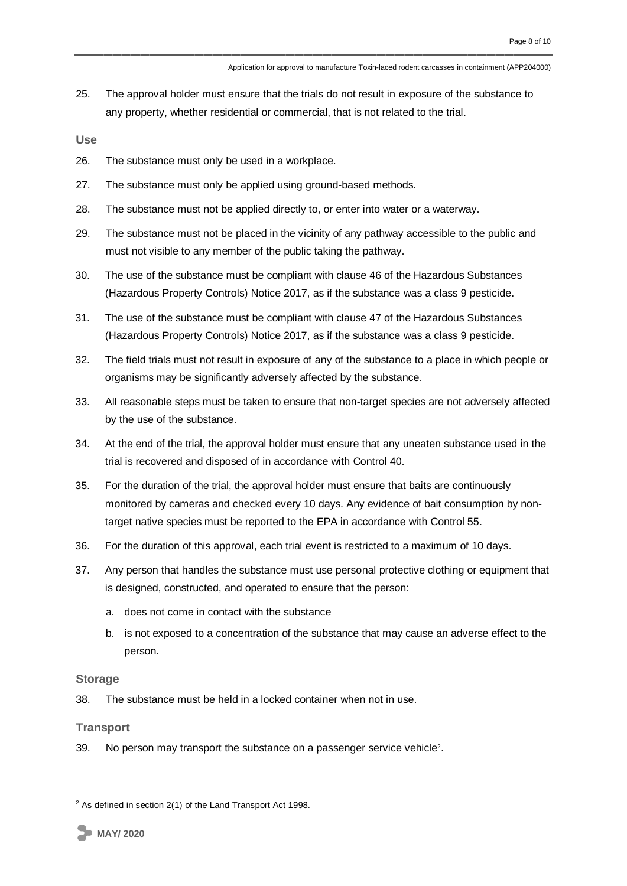25. The approval holder must ensure that the trials do not result in exposure of the substance to any property, whether residential or commercial, that is not related to the trial.

**Use**

- 26. The substance must only be used in a workplace.
- 27. The substance must only be applied using ground-based methods.
- 28. The substance must not be applied directly to, or enter into water or a waterway.
- 29. The substance must not be placed in the vicinity of any pathway accessible to the public and must not visible to any member of the public taking the pathway.
- 30. The use of the substance must be compliant with clause 46 of the Hazardous Substances (Hazardous Property Controls) Notice 2017, as if the substance was a class 9 pesticide.
- 31. The use of the substance must be compliant with clause 47 of the Hazardous Substances (Hazardous Property Controls) Notice 2017, as if the substance was a class 9 pesticide.
- 32. The field trials must not result in exposure of any of the substance to a place in which people or organisms may be significantly adversely affected by the substance.
- 33. All reasonable steps must be taken to ensure that non-target species are not adversely affected by the use of the substance.
- 34. At the end of the trial, the approval holder must ensure that any uneaten substance used in the trial is recovered and disposed of in accordance with Control 40.
- 35. For the duration of the trial, the approval holder must ensure that baits are continuously monitored by cameras and checked every 10 days. Any evidence of bait consumption by nontarget native species must be reported to the EPA in accordance with Control 55.
- 36. For the duration of this approval, each trial event is restricted to a maximum of 10 days.
- 37. Any person that handles the substance must use personal protective clothing or equipment that is designed, constructed, and operated to ensure that the person:
	- a. does not come in contact with the substance
	- b. is not exposed to a concentration of the substance that may cause an adverse effect to the person.

### **Storage**

38. The substance must be held in a locked container when not in use.

### **Transport**

1

39. No person may transport the substance on a passenger service vehicle<sup>2</sup>.

 $2$  As defined in section 2(1) of the Land Transport Act 1998.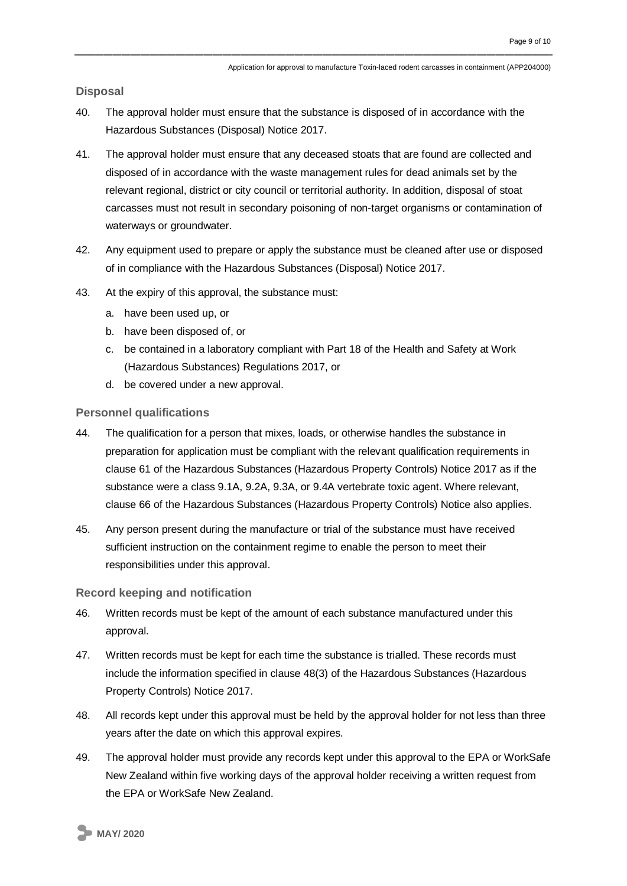**Disposal**

- 40. The approval holder must ensure that the substance is disposed of in accordance with the Hazardous Substances (Disposal) Notice 2017.
- 41. The approval holder must ensure that any deceased stoats that are found are collected and disposed of in accordance with the waste management rules for dead animals set by the relevant regional, district or city council or territorial authority. In addition, disposal of stoat carcasses must not result in secondary poisoning of non-target organisms or contamination of waterways or groundwater.
- 42. Any equipment used to prepare or apply the substance must be cleaned after use or disposed of in compliance with the Hazardous Substances (Disposal) Notice 2017.
- 43. At the expiry of this approval, the substance must:
	- a. have been used up, or
	- b. have been disposed of, or
	- c. be contained in a laboratory compliant with Part 18 of the Health and Safety at Work (Hazardous Substances) Regulations 2017, or
	- d. be covered under a new approval.

**Personnel qualifications**

- 44. The qualification for a person that mixes, loads, or otherwise handles the substance in preparation for application must be compliant with the relevant qualification requirements in clause 61 of the Hazardous Substances (Hazardous Property Controls) Notice 2017 as if the substance were a class 9.1A, 9.2A, 9.3A, or 9.4A vertebrate toxic agent. Where relevant, clause 66 of the Hazardous Substances (Hazardous Property Controls) Notice also applies.
- 45. Any person present during the manufacture or trial of the substance must have received sufficient instruction on the containment regime to enable the person to meet their responsibilities under this approval.

**Record keeping and notification**

- 46. Written records must be kept of the amount of each substance manufactured under this approval.
- 47. Written records must be kept for each time the substance is trialled. These records must include the information specified in clause 48(3) of the Hazardous Substances (Hazardous Property Controls) Notice 2017.
- 48. All records kept under this approval must be held by the approval holder for not less than three years after the date on which this approval expires.
- 49. The approval holder must provide any records kept under this approval to the EPA or WorkSafe New Zealand within five working days of the approval holder receiving a written request from the EPA or WorkSafe New Zealand.